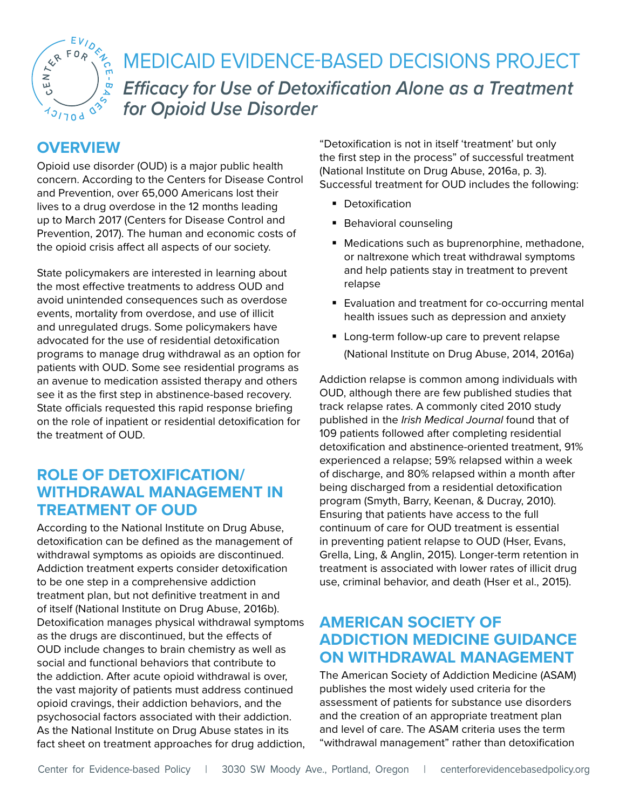

# MEDICAID EVIDENCE-BASED DECISIONS PROJECT *Efficacy for Use of Detoxification Alone as a Treatment for Opioid Use Disorder*

## **OVERVIEW**

Opioid use disorder (OUD) is a major public health concern. According to the Centers for Disease Control and Prevention, over 65,000 Americans lost their lives to a drug overdose in the 12 months leading up to March 2017 (Centers for Disease Control and Prevention, 2017). The human and economic costs of the opioid crisis affect all aspects of our society.

State policymakers are interested in learning about the most effective treatments to address OUD and avoid unintended consequences such as overdose events, mortality from overdose, and use of illicit and unregulated drugs. Some policymakers have advocated for the use of residential detoxification programs to manage drug withdrawal as an option for patients with OUD. Some see residential programs as an avenue to medication assisted therapy and others see it as the first step in abstinence-based recovery. State officials requested this rapid response briefing on the role of inpatient or residential detoxification for the treatment of OUD.

### **ROLE OF DETOXIFICATION/ WITHDRAWAL MANAGEMENT IN TREATMENT OF OUD**

According to the National Institute on Drug Abuse, detoxification can be defined as the management of withdrawal symptoms as opioids are discontinued. Addiction treatment experts consider detoxification to be one step in a comprehensive addiction treatment plan, but not definitive treatment in and of itself (National Institute on Drug Abuse, 2016b). Detoxification manages physical withdrawal symptoms as the drugs are discontinued, but the effects of OUD include changes to brain chemistry as well as social and functional behaviors that contribute to the addiction. After acute opioid withdrawal is over, the vast majority of patients must address continued opioid cravings, their addiction behaviors, and the psychosocial factors associated with their addiction. As the National Institute on Drug Abuse states in its fact sheet on treatment approaches for drug addiction, "Detoxification is not in itself 'treatment' but only the first step in the process" of successful treatment (National Institute on Drug Abuse, 2016a, p. 3). Successful treatment for OUD includes the following:

- **•** Detoxification
- **Behavioral counseling**
- **Medications such as buprenorphine, methadone,** or naltrexone which treat withdrawal symptoms and help patients stay in treatment to prevent relapse
- **Evaluation and treatment for co-occurring mental** health issues such as depression and anxiety
- **EX Long-term follow-up care to prevent relapse** (National Institute on Drug Abuse, 2014, 2016a)

Addiction relapse is common among individuals with OUD, although there are few published studies that track relapse rates. A commonly cited 2010 study published in the *Irish Medical Journal* found that of 109 patients followed after completing residential detoxification and abstinence-oriented treatment, 91% experienced a relapse; 59% relapsed within a week of discharge, and 80% relapsed within a month after being discharged from a residential detoxification program (Smyth, Barry, Keenan, & Ducray, 2010). Ensuring that patients have access to the full continuum of care for OUD treatment is essential in preventing patient relapse to OUD (Hser, Evans, Grella, Ling, & Anglin, 2015). Longer-term retention in treatment is associated with lower rates of illicit drug use, criminal behavior, and death (Hser et al., 2015).

#### **AMERICAN SOCIETY OF ADDICTION MEDICINE GUIDANCE ON WITHDRAWAL MANAGEMENT**

The American Society of Addiction Medicine (ASAM) publishes the most widely used criteria for the assessment of patients for substance use disorders and the creation of an appropriate treatment plan and level of care. The ASAM criteria uses the term "withdrawal management" rather than detoxification